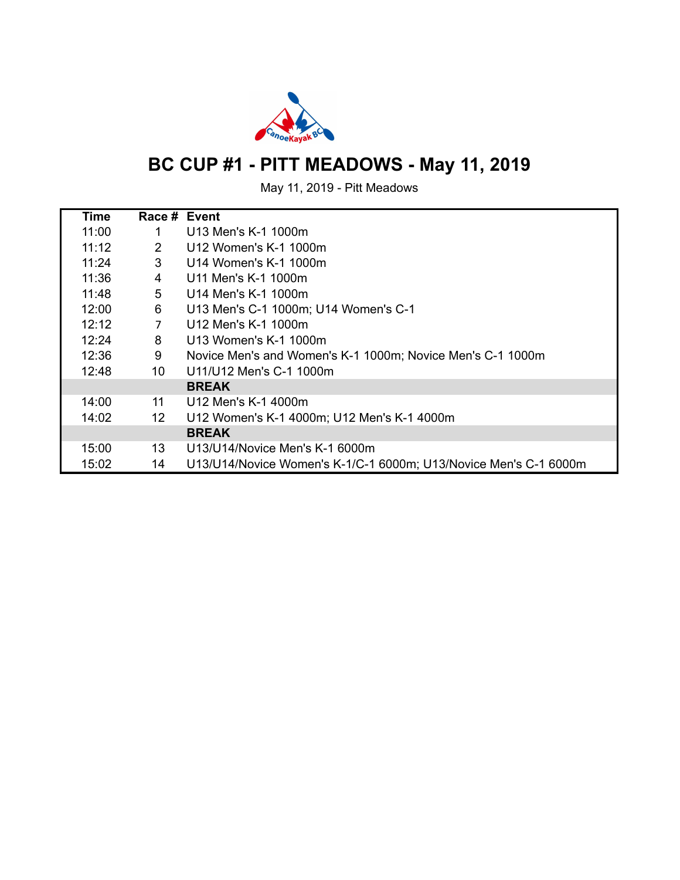

# **BC CUP #1 - PITT MEADOWS - May 11, 2019**

May 11, 2019 - Pitt Meadows

| Time  | Race # Event   |                                                                  |
|-------|----------------|------------------------------------------------------------------|
| 11:00 | 1              | U13 Men's K-1 1000m                                              |
| 11:12 | 2              | U12 Women's K-1 1000m                                            |
| 11:24 | 3              | U14 Women's K-1 1000m                                            |
| 11:36 | 4              | U11 Men's K-1 1000m                                              |
| 11:48 | 5              | U14 Men's K-1 1000m                                              |
| 12:00 | 6              | U13 Men's C-1 1000m; U14 Women's C-1                             |
| 12:12 | $\overline{7}$ | U12 Men's K-1 1000m                                              |
| 12:24 | 8              | U13 Women's K-1 1000m                                            |
| 12:36 | 9              | Novice Men's and Women's K-1 1000m; Novice Men's C-1 1000m       |
| 12:48 | 10             | U11/U12 Men's C-1 1000m                                          |
|       |                | <b>BREAK</b>                                                     |
| 14:00 | 11             | U12 Men's K-1 4000m                                              |
| 14:02 | 12             | U12 Women's K-1 4000m; U12 Men's K-1 4000m                       |
|       |                | <b>BREAK</b>                                                     |
| 15:00 | 13             | U13/U14/Novice Men's K-1 6000m                                   |
| 15:02 | 14             | U13/U14/Novice Women's K-1/C-1 6000m; U13/Novice Men's C-1 6000m |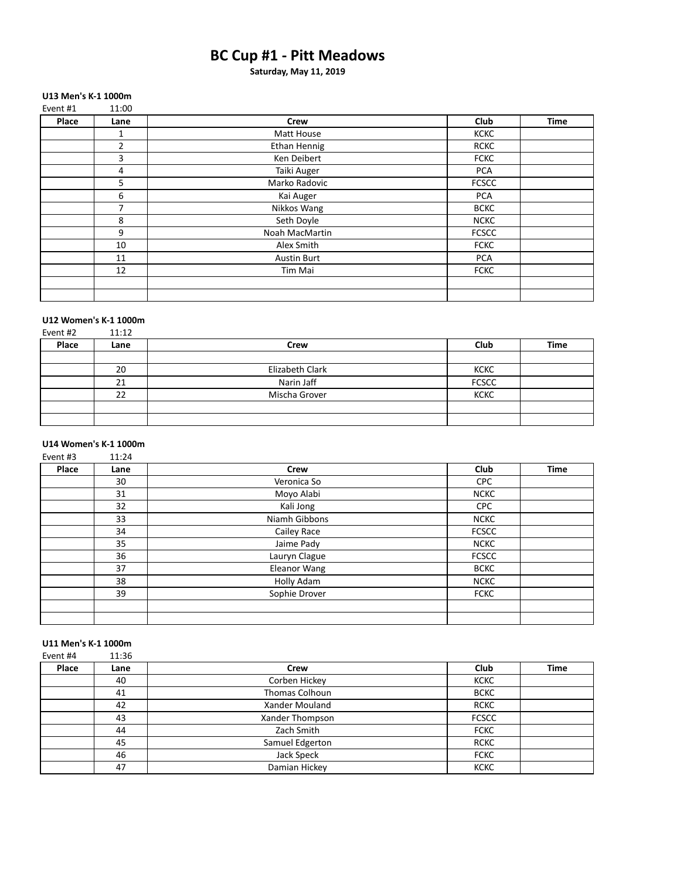### **BC Cup #1 - Pitt Meadows**

**Saturday, May 11, 2019**

#### **U13 Men's K-1 1000m** Event #1  $11:00$

| <b>EVELICHT</b> | TT.OO          |                    |              |             |
|-----------------|----------------|--------------------|--------------|-------------|
| Place           | Lane           | Crew               | Club         | <b>Time</b> |
|                 | 1              | Matt House         | <b>KCKC</b>  |             |
|                 | $\overline{2}$ | Ethan Hennig       | <b>RCKC</b>  |             |
|                 | 3              | Ken Deibert        | <b>FCKC</b>  |             |
|                 | 4              | Taiki Auger        | <b>PCA</b>   |             |
|                 | 5              | Marko Radovic      | <b>FCSCC</b> |             |
|                 | 6              | Kai Auger          | <b>PCA</b>   |             |
|                 | 7              | Nikkos Wang        | <b>BCKC</b>  |             |
|                 | 8              | Seth Doyle         | <b>NCKC</b>  |             |
|                 | 9              | Noah MacMartin     | <b>FCSCC</b> |             |
|                 | 10             | Alex Smith         | <b>FCKC</b>  |             |
|                 | 11             | <b>Austin Burt</b> | <b>PCA</b>   |             |
|                 | 12             | Tim Mai            | <b>FCKC</b>  |             |
|                 |                |                    |              |             |
|                 |                |                    |              |             |

### **U12 Women's K-1 1000m**<br>Event #2 11:12

| Event #2 | 11:12 |                 |              |             |
|----------|-------|-----------------|--------------|-------------|
| Place    | Lane  | Crew            | Club         | <b>Time</b> |
|          |       |                 |              |             |
|          | 20    | Elizabeth Clark | <b>KCKC</b>  |             |
|          | 21    | Narin Jaff      | <b>FCSCC</b> |             |
|          | 22    | Mischa Grover   | <b>KCKC</b>  |             |
|          |       |                 |              |             |
|          |       |                 |              |             |

#### **U14 Women's K-1 1000m** Event #3 11:24

| - - - - - - - - | ---- |                     |              |             |
|-----------------|------|---------------------|--------------|-------------|
| Place           | Lane | <b>Crew</b>         | Club         | <b>Time</b> |
|                 | 30   | Veronica So         | <b>CPC</b>   |             |
|                 | 31   | Moyo Alabi          | <b>NCKC</b>  |             |
|                 | 32   | Kali Jong           | <b>CPC</b>   |             |
|                 | 33   | Niamh Gibbons       | <b>NCKC</b>  |             |
|                 | 34   | Cailey Race         | <b>FCSCC</b> |             |
|                 | 35   | Jaime Pady          | <b>NCKC</b>  |             |
|                 | 36   | Lauryn Clague       | <b>FCSCC</b> |             |
|                 | 37   | <b>Eleanor Wang</b> | <b>BCKC</b>  |             |
|                 | 38   | Holly Adam          | <b>NCKC</b>  |             |
|                 | 39   | Sophie Drover       | <b>FCKC</b>  |             |
|                 |      |                     |              |             |
|                 |      |                     |              |             |

### **U11 Men's K-1 1000m**

| Event #4 | 11:36 |                 |              |             |
|----------|-------|-----------------|--------------|-------------|
| Place    | Lane  | Crew            | Club         | <b>Time</b> |
|          | 40    | Corben Hickey   | <b>KCKC</b>  |             |
|          | 41    | Thomas Colhoun  | <b>BCKC</b>  |             |
|          | 42    | Xander Mouland  | <b>RCKC</b>  |             |
|          | 43    | Xander Thompson | <b>FCSCC</b> |             |
|          | 44    | Zach Smith      | <b>FCKC</b>  |             |
|          | 45    | Samuel Edgerton | <b>RCKC</b>  |             |
|          | 46    | Jack Speck      | <b>FCKC</b>  |             |
|          | 47    | Damian Hickey   | <b>KCKC</b>  |             |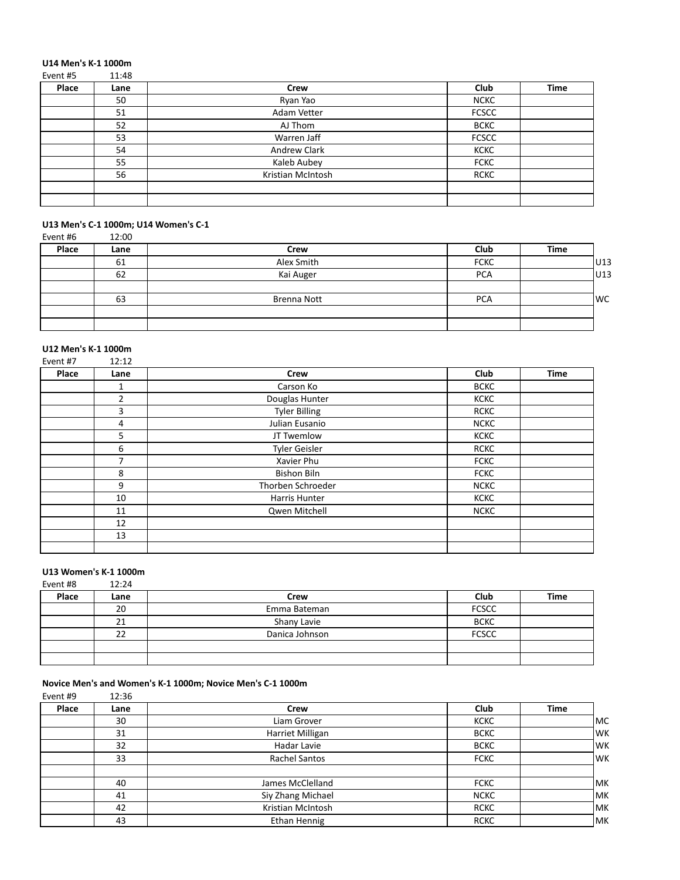### **U14 Men's K-1 1000m**

| Event #5 | 11:48 |                   |              |             |
|----------|-------|-------------------|--------------|-------------|
| Place    | Lane  | <b>Crew</b>       | Club         | <b>Time</b> |
|          | 50    | Ryan Yao          | <b>NCKC</b>  |             |
|          | 51    | Adam Vetter       | <b>FCSCC</b> |             |
|          | 52    | AJ Thom           | <b>BCKC</b>  |             |
|          | 53    | Warren Jaff       | <b>FCSCC</b> |             |
|          | 54    | Andrew Clark      | KCKC         |             |
|          | 55    | Kaleb Aubey       | <b>FCKC</b>  |             |
|          | 56    | Kristian McIntosh | <b>RCKC</b>  |             |
|          |       |                   |              |             |
|          |       |                   |              |             |

### U13 Men's C-1 1000m; U14 Women's C-1

| Event #6 | 12:00 |             |             |      |      |
|----------|-------|-------------|-------------|------|------|
| Place    | Lane  | <b>Crew</b> | Club        | Time |      |
|          | 61    | Alex Smith  | <b>FCKC</b> |      | U13  |
|          | 62    | Kai Auger   | <b>PCA</b>  |      | U13  |
|          |       |             |             |      |      |
|          | 63    | Brenna Nott | <b>PCA</b>  |      | lwc. |
|          |       |             |             |      |      |
|          |       |             |             |      |      |

### **U12 Men's K-1 1000m**

| Event #7 | 12:12          |                      |             |             |
|----------|----------------|----------------------|-------------|-------------|
| Place    | Lane           | Crew                 | Club        | <b>Time</b> |
|          | 1              | Carson Ko            | <b>BCKC</b> |             |
|          | $\overline{2}$ | Douglas Hunter       | <b>KCKC</b> |             |
|          | 3              | <b>Tyler Billing</b> | <b>RCKC</b> |             |
|          | 4              | Julian Eusanio       | <b>NCKC</b> |             |
|          | 5              | JT Twemlow           | <b>KCKC</b> |             |
|          | 6              | <b>Tyler Geisler</b> | <b>RCKC</b> |             |
|          | 7              | Xavier Phu           | <b>FCKC</b> |             |
|          | 8              | <b>Bishon Biln</b>   | <b>FCKC</b> |             |
|          | 9              | Thorben Schroeder    | <b>NCKC</b> |             |
|          | 10             | Harris Hunter        | <b>KCKC</b> |             |
|          | 11             | Qwen Mitchell        | <b>NCKC</b> |             |
|          | 12             |                      |             |             |
|          | 13             |                      |             |             |
|          |                |                      |             |             |

### **U13 Women's K-1 1000m**<br>Fyent #8 12:24

| Event #8 | 12:24 |                |              |      |
|----------|-------|----------------|--------------|------|
| Place    | Lane  | <b>Crew</b>    | Club         | Time |
|          | 20    | Emma Bateman   | <b>FCSCC</b> |      |
|          | 21    | Shany Lavie    | <b>BCKC</b>  |      |
|          | 22    | Danica Johnson | <b>FCSCC</b> |      |
|          |       |                |              |      |
|          |       |                |              |      |

#### **Novice Men's and Women's K-1 1000m; Novice Men's C-1 1000m**

Event #9 12:36

| Place | Lane | <b>Crew</b>          | Club        | <b>Time</b> |
|-------|------|----------------------|-------------|-------------|
|       | 30   | Liam Grover          | <b>KCKC</b> | lMC         |
|       | 31   | Harriet Milligan     | <b>BCKC</b> | lwĸ         |
|       | 32   | Hadar Lavie          | <b>BCKC</b> | lwĸ         |
|       | 33   | <b>Rachel Santos</b> | <b>FCKC</b> | lwĸ         |
|       |      |                      |             |             |
|       | 40   | James McClelland     | <b>FCKC</b> | lмк         |
|       | 41   | Siy Zhang Michael    | <b>NCKC</b> | lмк         |
|       | 42   | Kristian McIntosh    | <b>RCKC</b> | lмк         |
|       | 43   | Ethan Hennig         | <b>RCKC</b> | lмк         |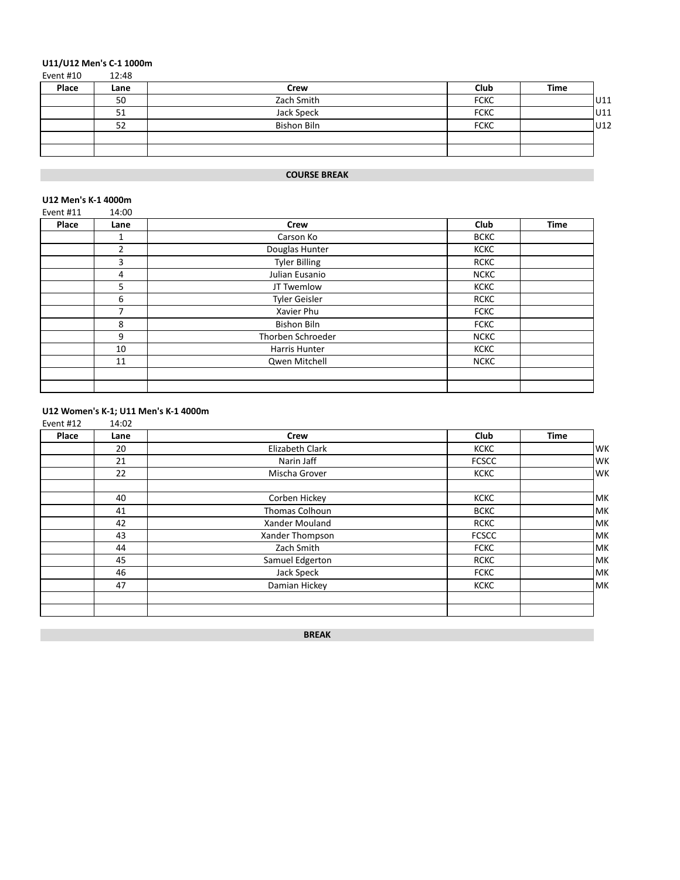## **U11/U12 Men's C-1 1000m**<br>Event #10 12:48

| Event #10 | 12:48 |                    |             |      |      |
|-----------|-------|--------------------|-------------|------|------|
| Place     | Lane  | Crew               | Club        | Time |      |
|           | 50    | Zach Smith         | <b>FCKC</b> |      | lU11 |
|           | 51    | Jack Speck         | <b>FCKC</b> |      | U11  |
|           | 52    | <b>Bishon Biln</b> | <b>FCKC</b> |      | lU12 |
|           |       |                    |             |      |      |
|           |       |                    |             |      |      |

### **COURSE BREAK**

#### **U12 Men's K-1 4000m**

| Event #11 | 14:00 |                      |             |             |
|-----------|-------|----------------------|-------------|-------------|
| Place     | Lane  | <b>Crew</b>          | Club        | <b>Time</b> |
|           |       | Carson Ko            | <b>BCKC</b> |             |
|           | 2     | Douglas Hunter       | <b>KCKC</b> |             |
|           | 3     | <b>Tyler Billing</b> | <b>RCKC</b> |             |
|           | 4     | Julian Eusanio       | <b>NCKC</b> |             |
|           | 5     | JT Twemlow           | <b>KCKC</b> |             |
|           | 6     | <b>Tyler Geisler</b> | <b>RCKC</b> |             |
|           | 7     | Xavier Phu           | <b>FCKC</b> |             |
|           | 8     | <b>Bishon Biln</b>   | <b>FCKC</b> |             |
|           | 9     | Thorben Schroeder    | <b>NCKC</b> |             |
|           | 10    | Harris Hunter        | <b>KCKC</b> |             |
|           | 11    | Qwen Mitchell        | <b>NCKC</b> |             |
|           |       |                      |             |             |
|           |       |                      |             |             |

### **U12 Women's K-1; U11 Men's K-1 4000m**

| Event #12 | 14:02 |                 |              |             |
|-----------|-------|-----------------|--------------|-------------|
| Place     | Lane  | Crew            | Club         | <b>Time</b> |
|           | 20    | Elizabeth Clark | <b>KCKC</b>  | WK          |
|           | 21    | Narin Jaff      | <b>FCSCC</b> | WK          |
|           | 22    | Mischa Grover   | <b>KCKC</b>  | WK          |
|           | 40    | Corben Hickey   | <b>KCKC</b>  | MK          |
|           | 41    | Thomas Colhoun  | <b>BCKC</b>  | MK          |
|           | 42    | Xander Mouland  | <b>RCKC</b>  | MK          |
|           | 43    | Xander Thompson | <b>FCSCC</b> | MK          |
|           | 44    | Zach Smith      | <b>FCKC</b>  | MK          |
|           | 45    | Samuel Edgerton | <b>RCKC</b>  | MK          |
|           | 46    | Jack Speck      | <b>FCKC</b>  | MK          |
|           | 47    | Damian Hickey   | <b>KCKC</b>  | lmk         |
|           |       |                 |              |             |

**BREAK**